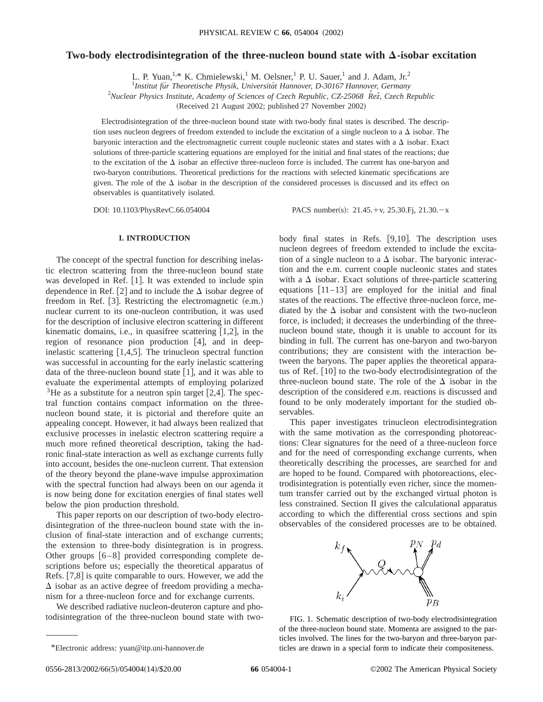# **Two-body electrodisintegration of the three-nucleon bound state with**  $\Delta$ **-isobar excitation**

L. P. Yuan, <sup>1,\*</sup> K. Chmielewski,<sup>1</sup> M. Oelsner,<sup>1</sup> P. U. Sauer,<sup>1</sup> and J. Adam, Jr.<sup>2</sup>

<sup>1</sup>Institut für Theoretische Physik, Universität Hannover, D-30167 Hannover, Germany

<sup>2</sup> Nuclear Physics Institute, Academy of Sciences of Czech Republic, CZ-25068  $\stackrel{\sim}{Rez}$ , Czech Republic

(Received 21 August 2002; published 27 November 2002)

Electrodisintegration of the three-nucleon bound state with two-body final states is described. The description uses nucleon degrees of freedom extended to include the excitation of a single nucleon to a  $\Delta$  isobar. The baryonic interaction and the electromagnetic current couple nucleonic states and states with a  $\Delta$  isobar. Exact solutions of three-particle scattering equations are employed for the initial and final states of the reactions; due to the excitation of the  $\Delta$  isobar an effective three-nucleon force is included. The current has one-baryon and two-baryon contributions. Theoretical predictions for the reactions with selected kinematic specifications are given. The role of the  $\Delta$  isobar in the description of the considered processes is discussed and its effect on observables is quantitatively isolated.

DOI: 10.1103/PhysRevC.66.054004 PACS number(s): 21.45.+v, 25.30.Fj, 21.30.-x

## **I. INTRODUCTION**

The concept of the spectral function for describing inelastic electron scattering from the three-nucleon bound state was developed in Ref.  $[1]$ . It was extended to include spin dependence in Ref. [2] and to include the  $\Delta$  isobar degree of freedom in Ref.  $[3]$ . Restricting the electromagnetic  $(e.m.)$ nuclear current to its one-nucleon contribution, it was used for the description of inclusive electron scattering in different kinematic domains, i.e., in quasifree scattering  $[1,2]$ , in the region of resonance pion production  $[4]$ , and in deepinelastic scattering  $[1,4,5]$ . The trinucleon spectral function was successful in accounting for the early inelastic scattering data of the three-nucleon bound state  $[1]$ , and it was able to evaluate the experimental attempts of employing polarized <sup>3</sup>He as a substitute for a neutron spin target [2,4]. The spectral function contains compact information on the threenucleon bound state, it is pictorial and therefore quite an appealing concept. However, it had always been realized that exclusive processes in inelastic electron scattering require a much more refined theoretical description, taking the hadronic final-state interaction as well as exchange currents fully into account, besides the one-nucleon current. That extension of the theory beyond the plane-wave impulse approximation with the spectral function had always been on our agenda it is now being done for excitation energies of final states well below the pion production threshold.

This paper reports on our description of two-body electrodisintegration of the three-nucleon bound state with the inclusion of final-state interaction and of exchange currents; the extension to three-body disintegration is in progress. Other groups  $[6-8]$  provided corresponding complete descriptions before us; especially the theoretical apparatus of Refs.  $[7,8]$  is quite comparable to ours. However, we add the  $\Delta$  isobar as an active degree of freedom providing a mechanism for a three-nucleon force and for exchange currents.

We described radiative nucleon-deuteron capture and photodisintegration of the three-nucleon bound state with twobody final states in Refs.  $[9,10]$ . The description uses nucleon degrees of freedom extended to include the excitation of a single nucleon to a  $\Delta$  isobar. The baryonic interaction and the e.m. current couple nucleonic states and states with a  $\Delta$  isobar. Exact solutions of three-particle scattering equations  $\begin{bmatrix} 11-13 \end{bmatrix}$  are employed for the initial and final states of the reactions. The effective three-nucleon force, mediated by the  $\Delta$  isobar and consistent with the two-nucleon force, is included; it decreases the underbinding of the threenucleon bound state, though it is unable to account for its binding in full. The current has one-baryon and two-baryon contributions; they are consistent with the interaction between the baryons. The paper applies the theoretical apparatus of Ref.  $\lceil 10 \rceil$  to the two-body electrodisintegration of the three-nucleon bound state. The role of the  $\Delta$  isobar in the description of the considered e.m. reactions is discussed and found to be only moderately important for the studied observables.

This paper investigates trinucleon electrodisintegration with the same motivation as the corresponding photoreactions: Clear signatures for the need of a three-nucleon force and for the need of corresponding exchange currents, when theoretically describing the processes, are searched for and are hoped to be found. Compared with photoreactions, electrodisintegration is potentially even richer, since the momentum transfer carried out by the exchanged virtual photon is less constrained. Section II gives the calculational apparatus according to which the differential cross sections and spin observables of the considered processes are to be obtained.



FIG. 1. Schematic description of two-body electrodisintegration of the three-nucleon bound state. Momenta are assigned to the particles involved. The lines for the two-baryon and three-baryon particles are drawn in a special form to indicate their compositeness.

<sup>\*</sup>Electronic address: yuan@itp.uni-hannover.de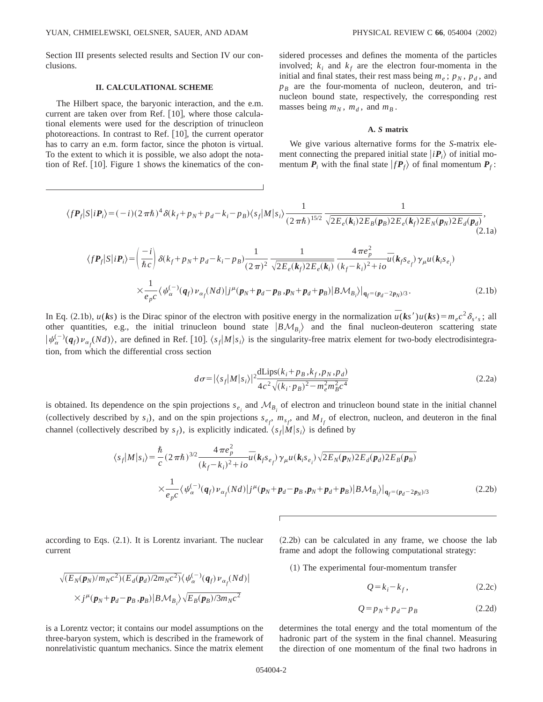Section III presents selected results and Section IV our conclusions.

### **II. CALCULATIONAL SCHEME**

The Hilbert space, the baryonic interaction, and the e.m. current are taken over from Ref.  $[10]$ , where those calculational elements were used for the description of trinucleon photoreactions. In contrast to Ref.  $[10]$ , the current operator has to carry an e.m. form factor, since the photon is virtual. To the extent to which it is possible, we also adopt the notation of Ref.  $[10]$ . Figure 1 shows the kinematics of the considered processes and defines the momenta of the particles involved;  $k_i$  and  $k_f$  are the electron four-momenta in the initial and final states, their rest mass being  $m_e$ ;  $p_N$ ,  $p_d$ , and  $p_B$  are the four-momenta of nucleon, deuteron, and trinucleon bound state, respectively, the corresponding rest masses being  $m_N$ ,  $m_d$ , and  $m_B$ .

### **A.** *S* **matrix**

We give various alternative forms for the *S*-matrix element connecting the prepared initial state  $|i\mathbf{P}_i\rangle$  of initial momentum  $P_i$  with the final state  $|fP_f\rangle$  of final momentum  $P_f$ :

$$
\langle f \mathbf{P}_f | S | i \mathbf{P}_i \rangle = (-i)(2 \pi \hbar)^4 \delta(k_f + p_N + p_d - k_i - p_B) \langle s_f | M | s_i \rangle \frac{1}{(2 \pi \hbar)^{15/2}} \frac{1}{\sqrt{2E_e(\mathbf{k}_i) 2E_B(\mathbf{p}_B) 2E_e(\mathbf{k}_f) 2E_N(\mathbf{p}_N) 2E_d(\mathbf{p}_d)}},
$$
\n(2.1a)

$$
\langle f \mathbf{P}_f | S | i \mathbf{P}_i \rangle = \left( \frac{-i}{\hbar c} \right) \delta(k_f + p_N + p_d - k_i - p_B) \frac{1}{(2\pi)^2} \frac{1}{\sqrt{2E_e(k_f)2E_e(k_i)}} \frac{4\pi e_p^2}{(k_f - k_i)^2 + i\sigma} \overline{u}(k_f s_{e_f}) \gamma_\mu u(k_i s_{e_i})
$$
  
 
$$
\times \frac{1}{e_p c} \langle \psi_\alpha^{(-)}(q_f) \nu_{\alpha_f}(Nd) | j^\mu(p_N + p_d - p_B, p_N + p_d + p_B) | B \mathcal{M}_{B_i} \rangle |_{q_f = (p_d - 2p_N)/3}.
$$
 (2.1b)

In Eq. (2.1b),  $u(ks)$  is the Dirac spinor of the electron with positive energy in the normalization  $\bar{u}(ks')u(ks) = m_ec^2\delta_{s's}$ ; all other quantities, e.g., the initial trinucleon bound state  $|B\mathcal{M}_{B_i}\rangle$  and the final nucleon-deuteron scattering state  $|\psi_{\alpha}^{(-)}(q_f) \nu_{\alpha_f}(Nd)\rangle$ , are defined in Ref. [10].  $\langle s_f|M|s_i\rangle$  is the singularity-free matrix element for two-body electrodisintegration, from which the differential cross section

$$
d\sigma = |\langle s_f | M | s_i \rangle|^2 \frac{\text{dLips}(k_i + p_B, k_f, p_N, p_d)}{4c^2 \sqrt{(k_i \cdot p_B)^2 - m_e^2 m_B^2 c^4}} \tag{2.2a}
$$

is obtained. Its dependence on the spin projections  $s_{e_i}$  and  $\mathcal{M}_{B_i}$  of electron and trinucleon bound state in the initial channel (collectively described by  $s_i$ ), and on the spin projections  $s_{e_f}$ ,  $m_{s_f}$ , and  $M_{I_f}$  of electron, nucleon, and deuteron in the final channel (collectively described by  $s_f$ ), is explicitly indicated.  $\langle s_f | M | s_i \rangle$  is defined by

$$
\langle s_f | M | s_i \rangle = \frac{\hbar}{c} (2 \pi \hbar)^{3/2} \frac{4 \pi e_p^2}{(k_f - k_i)^2 + i o} \overline{u}(k_f s_{e_f}) \gamma_\mu u(k_i s_{e_i}) \sqrt{2 E_N(\mathbf{p}_N) 2 E_d(\mathbf{p}_d) 2 E_B(\mathbf{p}_B)}
$$
  
 
$$
\times \frac{1}{e_p c} \langle \psi_\alpha^{(-)}(\mathbf{q}_f) \nu_{\alpha_f}(Nd) | j^\mu(\mathbf{p}_N + \mathbf{p}_d - \mathbf{p}_B \cdot \mathbf{p}_N + \mathbf{p}_d + \mathbf{p}_B) | B \mathcal{M}_{B_i} \rangle |_{\mathbf{q}_f = (\mathbf{p}_d - 2\mathbf{p}_N)^{3}} \tag{2.2b}
$$

according to Eqs.  $(2.1)$ . It is Lorentz invariant. The nuclear current

$$
\sqrt{(E_N(\mathbf{p}_N)/m_Nc^2)(E_d(\mathbf{p}_d)/2m_Nc^2)}\langle \psi_\alpha^{(-)}(\mathbf{q}_f) \nu_{\alpha_f}(Nd)|
$$
  
 
$$
\times j^{\mu}(\mathbf{p}_N + \mathbf{p}_d - \mathbf{p}_B, \mathbf{p}_B) | B \mathcal{M}_{B_i} \rangle \sqrt{E_B(\mathbf{p}_B)/3m_Nc^2}
$$

is a Lorentz vector; it contains our model assumptions on the three-baryon system, which is described in the framework of nonrelativistic quantum mechanics. Since the matrix element  $(2.2b)$  can be calculated in any frame, we choose the lab frame and adopt the following computational strategy:

 $(1)$  The experimental four-momentum transfer

$$
Q = k_i - k_f, \tag{2.2c}
$$

$$
Q = p_N + p_d - p_B \tag{2.2d}
$$

determines the total energy and the total momentum of the hadronic part of the system in the final channel. Measuring the direction of one momentum of the final two hadrons in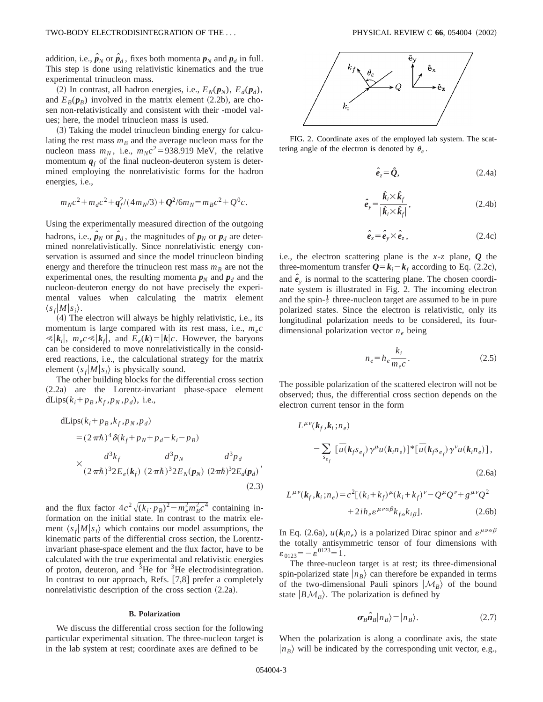addition, i.e.,  $\hat{\textbf{\textit{p}}}_{N}$  or  $\hat{\textbf{\textit{p}}}_{d}$  , fixes both momenta  $\textbf{\textit{p}}_{N}$  and  $\textbf{\textit{p}}_{d}$  in full. This step is done using relativistic kinematics and the true experimental trinucleon mass.

(2) In contrast, all hadron energies, i.e.,  $E_N(p_N)$ ,  $E_d(p_d)$ , and  $E_B(p_B)$  involved in the matrix element (2.2b), are chosen non-relativistically and consistent with their -model values; here, the model trinucleon mass is used.

~3! Taking the model trinucleon binding energy for calculating the rest mass  $m_B$  and the average nucleon mass for the nucleon mass  $m_N$ , i.e.,  $m_Nc^2 = 938.919$  MeV, the relative momentum  $q_f$  of the final nucleon-deuteron system is determined employing the nonrelativistic forms for the hadron energies, i.e.,

$$
m_Nc^2 + m_d c^2 + \frac{q^2}{f^2}(4m_N/3) + \frac{Q^2}{6m_N} = m_B c^2 + \frac{Q^0}{c}.
$$

Using the experimentally measured direction of the outgoing hadrons, i.e.,  $\hat{\boldsymbol{p}}_N$  or  $\hat{\boldsymbol{p}}_d$ , the magnitudes of  $\boldsymbol{p}_N$  or  $\boldsymbol{p}_d$  are determined nonrelativistically. Since nonrelativistic energy conservation is assumed and since the model trinucleon binding energy and therefore the trinucleon rest mass  $m_B$  are not the experimental ones, the resulting momenta  $p_N$  and  $p_d$  and the nucleon-deuteron energy do not have precisely the experimental values when calculating the matrix element  $\langle s_f|M|s_i\rangle$ .

 $(4)$  The electron will always be highly relativistic, i.e., its momentum is large compared with its rest mass, i.e.,  $m_e c$  $\ll$   $|k_i|$ ,  $m_e c \ll |k_f|$ , and  $E_e(k) = |k|c$ . However, the baryons can be considered to move nonrelativistically in the considered reactions, i.e., the calculational strategy for the matrix element  $\langle s_f|M|s_i\rangle$  is physically sound.

The other building blocks for the differential cross section (2.2a) are the Lorentz-invariant phase-space element dLips( $k_i + p_B$ , $k_f$ , $p_N$ , $p_d$ ), i.e.,

dLips
$$
(k_i + p_B, k_f, p_N, p_d)
$$
  
\n
$$
= (2 \pi \hbar)^4 \delta(k_f + p_N + p_d - k_i - p_B)
$$
\n
$$
\times \frac{d^3 k_f}{(2 \pi \hbar)^3 2E_e(k_f)} \frac{d^3 p_N}{(2 \pi \hbar)^3 2E_N(p_N)} \frac{d^3 p_d}{(2 \pi \hbar)^3 2E_d(p_d)},
$$
\n(2.3)

and the flux factor  $4c^2\sqrt{(k_i \cdot p_B)^2 - m_e^2 m_B^2 c^4}$  containing information on the initial state. In contrast to the matrix element  $\langle s_f|M|s_i\rangle$  which contains our model assumptions, the kinematic parts of the differential cross section, the Lorentzinvariant phase-space element and the flux factor, have to be calculated with the true experimental and relativistic energies of proton, deuteron, and  ${}^{3}$ He for  ${}^{3}$ He electrodisintegration. In contrast to our approach, Refs.  $[7,8]$  prefer a completely nonrelativistic description of the cross section  $(2.2a)$ .

## **B. Polarization**

We discuss the differential cross section for the following particular experimental situation. The three-nucleon target is in the lab system at rest; coordinate axes are defined to be



FIG. 2. Coordinate axes of the employed lab system. The scattering angle of the electron is denoted by  $\theta_e$ .

$$
\hat{\boldsymbol{e}}_z = \hat{\boldsymbol{Q}},\tag{2.4a}
$$

$$
\hat{e}_y = \frac{\hat{k}_i \times \hat{k}_f}{|\hat{k}_i \times \hat{k}_f|},\tag{2.4b}
$$

$$
\hat{\boldsymbol{e}}_x = \hat{\boldsymbol{e}}_y \times \hat{\boldsymbol{e}}_z, \qquad (2.4c)
$$

i.e., the electron scattering plane is the *x*-*z* plane, *Q* the three-momentum transfer  $Q = k_i - k_f$  according to Eq. (2.2c), and  $\hat{e}_y$  is normal to the scattering plane. The chosen coordinate system is illustrated in Fig. 2. The incoming electron and the spin- $\frac{1}{2}$  three-nucleon target are assumed to be in pure polarized states. Since the electron is relativistic, only its longitudinal polarization needs to be considered, its fourdimensional polarization vector *ne* being

$$
n_e = h_e \frac{k_i}{m_e c}.
$$
\n
$$
(2.5)
$$

The possible polarization of the scattered electron will not be observed; thus, the differential cross section depends on the electron current tensor in the form

$$
L^{\mu\nu}(k_f, k_i; n_e)
$$
  
= 
$$
\sum_{s_{e_f}} [\bar{u}(k_f s_{e_f}) \gamma^{\mu} u(k_i n_e)]^* [\bar{u}(k_f s_{e_f}) \gamma^{\nu} u(k_i n_e)],
$$
  
(2.6a)

$$
L^{\mu\nu}(k_f, k_i; n_e) = c^2 [(k_i + k_f)^{\mu} (k_i + k_f)^{\nu} - Q^{\mu} Q^{\nu} + g^{\mu\nu} Q^2
$$

$$
+ 2i h_e \varepsilon^{\mu\nu\alpha\beta} k_{f\alpha} k_{i\beta}].
$$
 (2.6b)

In Eq. (2.6a),  $u(k_i n_e)$  is a polarized Dirac spinor and  $\varepsilon^{\mu\nu\alpha\beta}$ the totally antisymmetric tensor of four dimensions with  $\varepsilon_{0123} = -\varepsilon^{0123} = 1$ .

The three-nucleon target is at rest; its three-dimensional spin-polarized state  $\vert n_B \rangle$  can therefore be expanded in terms of the two-dimensional Pauli spinors  $|\mathcal{M}_B\rangle$  of the bound state  $|B\mathcal{M}_B\rangle$ . The polarization is defined by

$$
\sigma_B \hat{n}_B |n_B\rangle = |n_B\rangle. \tag{2.7}
$$

When the polarization is along a coordinate axis, the state  $|n_B\rangle$  will be indicated by the corresponding unit vector, e.g.,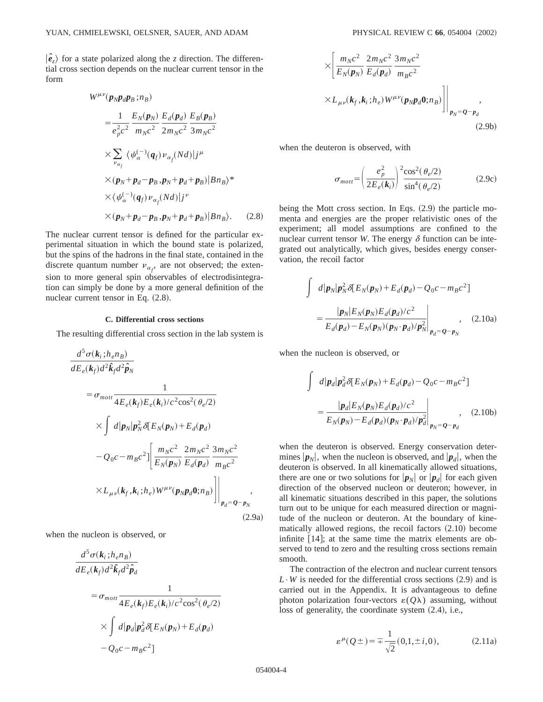$\ket{\hat{e}_z}$  for a state polarized along the *z* direction. The differential cross section depends on the nuclear current tensor in the form

$$
W^{\mu\nu}(\boldsymbol{p}_{N}\boldsymbol{p}_{d}\boldsymbol{p}_{B};n_{B})
$$
  
\n
$$
= \frac{1}{e_{p}^{2}c^{2}} \frac{E_{N}(\boldsymbol{p}_{N})}{m_{N}c^{2}} \frac{E_{d}(\boldsymbol{p}_{d})}{2m_{N}c^{2}} \frac{E_{B}(\boldsymbol{p}_{B})}{3m_{N}c^{2}}
$$
  
\n
$$
\times \sum_{\nu_{\alpha_{f}}} \langle \psi_{\alpha}^{(-)}(\boldsymbol{q}_{f}) \nu_{\alpha_{f}}(Nd) | j^{\mu}
$$
  
\n
$$
\times (\boldsymbol{p}_{N} + \boldsymbol{p}_{d} - \boldsymbol{p}_{B}, \boldsymbol{p}_{N} + \boldsymbol{p}_{d} + \boldsymbol{p}_{B}) |B n_{B} \rangle^{*}
$$
  
\n
$$
\times (\psi_{\alpha}^{(-)}(\boldsymbol{q}_{f}) \nu_{\alpha_{f}}(Nd) | j^{\nu}
$$
  
\n
$$
\times (\boldsymbol{p}_{N} + \boldsymbol{p}_{d} - \boldsymbol{p}_{B}, \boldsymbol{p}_{N} + \boldsymbol{p}_{d} + \boldsymbol{p}_{B}) |B n_{B} \rangle.
$$
 (2.8)

The nuclear current tensor is defined for the particular experimental situation in which the bound state is polarized, but the spins of the hadrons in the final state, contained in the discrete quantum number  $\nu_{\alpha_f}$ , are not observed; the extension to more general spin observables of electrodisintegration can simply be done by a more general definition of the nuclear current tensor in Eq.  $(2.8)$ .

#### **C. Differential cross sections**

The resulting differential cross section in the lab system is

$$
\frac{d^5 \sigma(k_i; h_e n_B)}{dE_e(k_f) d^2 \hat{k}_f d^2 \hat{p}_N}
$$
\n
$$
= \sigma_{mot} \frac{1}{4E_e(k_f)E_e(k_i)/c^2 \cos^2(\theta_e/2)}
$$
\n
$$
\times \int d|p_N| p_N^2 \delta [E_N(p_N) + E_d(p_d)
$$
\n
$$
-Q_0 c - m_B c^2] \left[ \frac{m_N c^2}{E_N(p_N)} \frac{2m_N c^2}{E_d(p_d)} \frac{3m_N c^2}{m_B c^2} \frac{m_N c^2}{2m_N c^2} \frac{m_N c^2}{2m_N c^2} \frac{m_N c^2}{2m_N c^2} \frac{m_N c^2}{2m_N c^2} \frac{m_N c^2}{2m_N c^2} \frac{m_N c^2}{2m_N c^2} \frac{m_N c^2}{2m_N c^2} \frac{m_N c^2}{2m_N c^2} \frac{m_N c^2}{2m_N c^2} \frac{m_N c^2}{2m_N c^2} \frac{m_N c^2}{2m_N c^2} \frac{m_N c^2}{2m_N c^2} \frac{m_N c^2}{2m_N c^2} \frac{m_N c^2}{2m_N c^2} \frac{m_N c^2}{2m_N c^2} \frac{m_N c^2}{2m_N c^2} \frac{m_N c^2}{2m_N c^2} \frac{m_N c^2}{2m_N c^2} \frac{m_N c^2}{2m_N c^2} \frac{m_N c^2}{2m_N c^2} \frac{m_N c^2}{2m_N c^2} \frac{m_N c^2}{2m_N c^2} \frac{m_N c^2}{2m_N c^2} \frac{m_N c^2}{2m_N c^2} \frac{m_N c^2}{2m_N c^2} \frac{m_N c^2}{2m_N c^2} \frac{m_N c^2}{2m_N c^2} \frac{m_N c^2}{2m_N c^2} \frac{m_N c^2}{2m_N c^2} \frac{m_N c^2}{2m_N c^2} \frac{m_N c^2}{2m_N c^2} \frac{m_N c^2}{2m_N c^2} \frac{m_N c^2}{2m_N c^2} \frac{m_N c^2}{2m_N c^2} \frac{m_N c^2}{2m_N c^2} \frac{m_N c^2}{2m
$$

when the nucleon is observed, or

$$
\frac{d^5 \sigma(k_i; h_e n_B)}{dE_e(k_f) d^2 \hat{k}_f d^2 \hat{p}_d}
$$
\n
$$
= \sigma_{mot} \frac{1}{4E_e(k_f)E_e(k_i)/c^2 \cos^2(\theta_e/2)}
$$
\n
$$
\times \int d|\mathbf{p}_d|\mathbf{p}_d^2 \delta[E_N(\mathbf{p}_N) + E_d(\mathbf{p}_d) - Q_0 c - m_B c^2]
$$

$$
\times \left[ \frac{m_N c^2}{E_N(\pmb{p}_N)} \frac{2m_N c^2}{E_d(\pmb{p}_d)} \frac{3m_N c^2}{m_B c^2} \times L_{\mu\nu}(\pmb{k}_f, \pmb{k}_i; h_e) W^{\mu\nu}(\pmb{p}_N \pmb{p}_d \pmb{0}; n_B) \right] \Big|_{\pmb{p}_N = \pmb{Q} - \pmb{p}_d} , \tag{2.9b}
$$

when the deuteron is observed, with

$$
\sigma_{mott} = \left(\frac{e_p^2}{2E_e(\mathbf{k}_i)}\right)^2 \frac{\cos^2(\theta_e/2)}{\sin^4(\theta_e/2)}\tag{2.9c}
$$

being the Mott cross section. In Eqs.  $(2.9)$  the particle momenta and energies are the proper relativistic ones of the experiment; all model assumptions are confined to the nuclear current tensor *W*. The energy  $\delta$  function can be integrated out analytically, which gives, besides energy conservation, the recoil factor

$$
\int d|\mathbf{p}_N| \mathbf{p}_N^2 \delta [E_N(\mathbf{p}_N) + E_d(\mathbf{p}_d) - Q_0 c - m_B c^2]
$$
  
= 
$$
\frac{|\mathbf{p}_N| E_N(\mathbf{p}_N) E_d(\mathbf{p}_d)/c^2}{E_d(\mathbf{p}_d) - E_N(\mathbf{p}_N)(\mathbf{p}_N \cdot \mathbf{p}_d)/p_N^2}
$$
, (2.10a)

when the nucleon is observed, or

$$
\int d|\mathbf{p}_d| \mathbf{p}_d^2 \delta[E_N(\mathbf{p}_N) + E_d(\mathbf{p}_d) - Q_0 c - m_B c^2]
$$
  
= 
$$
\frac{|\mathbf{p}_d| E_N(\mathbf{p}_N) E_d(\mathbf{p}_d)/c^2}{E_N(\mathbf{p}_N) - E_d(\mathbf{p}_d)(\mathbf{p}_N \cdot \mathbf{p}_d)/p_d^2}\Big|_{\mathbf{p}_N = \mathbf{Q} - \mathbf{p}_d},
$$
 (2.10b)

when the deuteron is observed. Energy conservation determines  $|\mathbf{p}_N|$ , when the nucleon is observed, and  $|\mathbf{p}_d|$ , when the deuteron is observed. In all kinematically allowed situations, there are one or two solutions for  $|\mathbf{p}_N|$  or  $|\mathbf{p}_d|$  for each given direction of the observed nucleon or deuteron; however, in all kinematic situations described in this paper, the solutions turn out to be unique for each measured direction or magnitude of the nucleon or deuteron. At the boundary of kinematically allowed regions, the recoil factors  $(2.10)$  become infinite  $[14]$ ; at the same time the matrix elements are observed to tend to zero and the resulting cross sections remain smooth.

The contraction of the electron and nuclear current tensors  $L \cdot W$  is needed for the differential cross sections (2.9) and is carried out in the Appendix. It is advantageous to define photon polarization four-vectors  $\varepsilon(Q\lambda)$  assuming, without loss of generality, the coordinate system  $(2.4)$ , i.e.,

$$
\varepsilon^{\mu}(Q \pm) = \pm \frac{1}{\sqrt{2}}(0, 1, \pm i, 0), \qquad (2.11a)
$$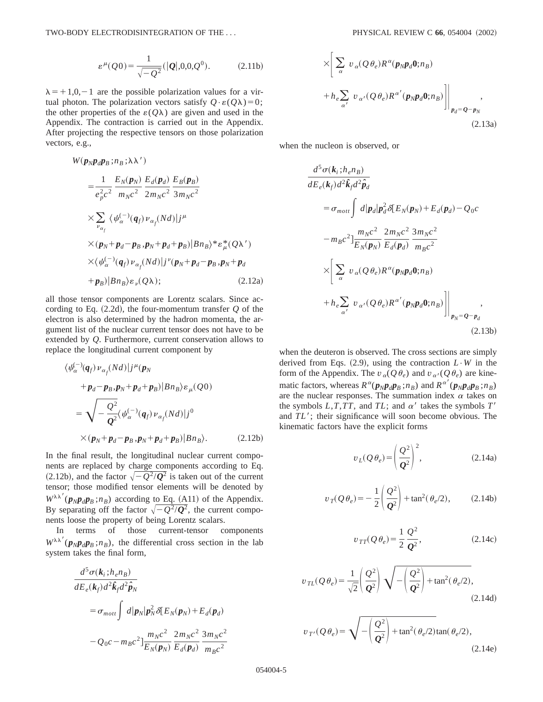$$
\varepsilon^{\mu}(Q0) = \frac{1}{\sqrt{-Q^2}} (|\mathbf{Q}|, 0, 0, Q^0). \tag{2.11b}
$$

 $\lambda = +1,0,-1$  are the possible polarization values for a virtual photon. The polarization vectors satisfy  $Q \cdot \varepsilon(Q\lambda) = 0$ ; the other properties of the  $\varepsilon(Q\lambda)$  are given and used in the Appendix. The contraction is carried out in the Appendix. After projecting the respective tensors on those polarization vectors, e.g.,

$$
W(\mathbf{p}_{N}\mathbf{p}_{d}\mathbf{p}_{B};n_{B};\lambda\lambda')
$$
  
\n
$$
= \frac{1}{e_{p}^{2}c^{2}} \frac{E_{N}(\mathbf{p}_{N})}{m_{N}c^{2}} \frac{E_{d}(\mathbf{p}_{d})}{2m_{N}c^{2}} \frac{E_{B}(\mathbf{p}_{B})}{3m_{N}c^{2}}
$$
  
\n
$$
\times \sum_{\nu_{\alpha_{f}}} \langle \psi_{\alpha}^{(-)}(\mathbf{q}_{f}) \nu_{\alpha_{f}}(Nd) | j^{\mu}
$$
  
\n
$$
\times (\mathbf{p}_{N} + \mathbf{p}_{d} - \mathbf{p}_{B} \cdot \mathbf{p}_{N} + \mathbf{p}_{d} + \mathbf{p}_{B}) |Bn_{B}\rangle^{*} \varepsilon_{\mu}^{*}(Q\lambda')
$$
  
\n
$$
\times \langle \psi_{\alpha}^{(-)}(\mathbf{q}_{f}) \nu_{\alpha_{f}}(Nd) | j^{\nu}(\mathbf{p}_{N} + \mathbf{p}_{d} - \mathbf{p}_{B} \cdot \mathbf{p}_{N} + \mathbf{p}_{d}
$$
  
\n
$$
+ \mathbf{p}_{B} |Bn_{B}\rangle \varepsilon_{\nu}(Q\lambda); \qquad (2.12a)
$$

all those tensor components are Lorentz scalars. Since according to Eq.  $(2.2d)$ , the four-momentum transfer  $Q$  of the electron is also determined by the hadron momenta, the argument list of the nuclear current tensor does not have to be extended by *Q*. Furthermore, current conservation allows to replace the longitudinal current component by

$$
\langle \psi_{\alpha}^{(-)}(q_f) \nu_{\alpha_f}(Nd) | j^{\mu}(p_N)
$$
  
+  $p_d - p_B \cdot p_N + p_d + p_B | Bn_B \rangle \varepsilon_{\mu}(Q0)$   
=  $\sqrt{-\frac{Q^2}{Q^2}} \langle \psi_{\alpha}^{(-)}(q_f) \nu_{\alpha_f}(Nd) | j^0$   
 $\times (p_N + p_d - p_B \cdot p_N + p_d + p_B) | Bn_B \rangle.$  (2.12b)

In the final result, the longitudinal nuclear current components are replaced by charge components according to Eq.  $(2.12b)$ , and the factor  $\sqrt{-Q^2/Q^2}$  is taken out of the current tensor; those modified tensor elements will be denoted by  $W^{\lambda\lambda'}(p_Np_d p_B; n_B)$  according to Eq. (A11) of the Appendix. By separating off the factor  $\sqrt{-Q^2/Q^2}$ , the current components loose the property of being Lorentz scalars.

In terms of those current-tensor components  $W^{\lambda\lambda'}(p_Np_d p_B; n_B)$ , the differential cross section in the lab system takes the final form,

$$
\frac{d^5 \sigma(k_i; h_e n_B)}{dE_e(k_f) d^2 \hat{k}_f d^2 \hat{p}_N}
$$
\n
$$
= \sigma_{mot} \int d|p_N| p_N^2 \delta[E_N(p_N) + E_d(p_d)
$$
\n
$$
-Q_0 c - m_B c^2] \frac{m_N c^2}{E_N(p_N)} \frac{2m_N c^2}{E_d(p_d)} \frac{3m_N c^2}{m_B c^2}
$$

$$
\times \left[ \sum_{\alpha} v_{\alpha} (Q \theta_e) R^{\alpha} (p_N p_d \mathbf{0}; n_B) + h_e \sum_{\alpha'} v_{\alpha'} (Q \theta_e) R^{\alpha'} (p_N p_d \mathbf{0}; n_B) \right] \Big|_{p_d = Q - p_N},
$$
\n(2.13a)

when the nucleon is observed, or

$$
\frac{d^5 \sigma(k_i; h_e n_B)}{dE_e(k_f) d^2 \hat{k}_f d^2 \hat{p}_d}
$$
\n
$$
= \sigma_{mot} \int d|p_d| p_d^2 \delta[E_N(p_N) + E_d(p_d) - Q_0 c]
$$
\n
$$
-m_B c^2] \frac{m_N c^2}{E_N(p_N)} \frac{2m_N c^2}{E_d(p_d)} \frac{3m_N c^2}{m_B c^2}
$$
\n
$$
\times \left[ \sum_{\alpha} v_{\alpha} (Q \theta_e) R^{\alpha}(p_N p_d 0; n_B) + h_e \sum_{\alpha'} v_{\alpha'} (Q \theta_e) R^{\alpha'}(p_N p_d 0; n_B) \right] \Big|_{p_N = Q - p_d}
$$
\n(2.13b)

when the deuteron is observed. The cross sections are simply derived from Eqs.  $(2.9)$ , using the contraction  $L \cdot W$  in the form of the Appendix. The  $v_\alpha(Q\theta_e)$  and  $v_{\alpha'}(Q\theta_e)$  are kinematic factors, whereas  $R^{\alpha}(\boldsymbol{p}_N \boldsymbol{p}_d \boldsymbol{p}_B; n_B)$  and  $R^{\alpha'}(\boldsymbol{p}_N \boldsymbol{p}_d \boldsymbol{p}_B; n_B)$ are the nuclear responses. The summation index  $\alpha$  takes on the symbols  $L, T, TT$ , and  $TL$ ; and  $\alpha'$  takes the symbols  $T'$ and *TL'*; their significance will soon become obvious. The kinematic factors have the explicit forms

$$
v_L(Q\,\theta_e) = \left(\frac{Q^2}{Q^2}\right)^2,\tag{2.14a}
$$

$$
v_T(Q \theta_e) = -\frac{1}{2} \left( \frac{Q^2}{Q^2} \right) + \tan^2(\theta_e/2), \quad (2.14b)
$$

$$
v_{TT}(Q\theta_e) = \frac{1}{2}\frac{Q^2}{Q^2},
$$
\n(2.14c)

$$
v_{TL}(Q\theta_e) = \frac{1}{\sqrt{2}} \left(\frac{Q^2}{Q^2}\right) \sqrt{-\left(\frac{Q^2}{Q^2}\right) + \tan^2(\theta_e/2)},
$$
\n(2.14d)

$$
v_{T'}(Q\theta_e) = \sqrt{-\left(\frac{Q^2}{Q^2}\right) + \tan^2(\theta_e/2)}\tan(\theta_e/2),
$$
\n(2.14e)

054004-5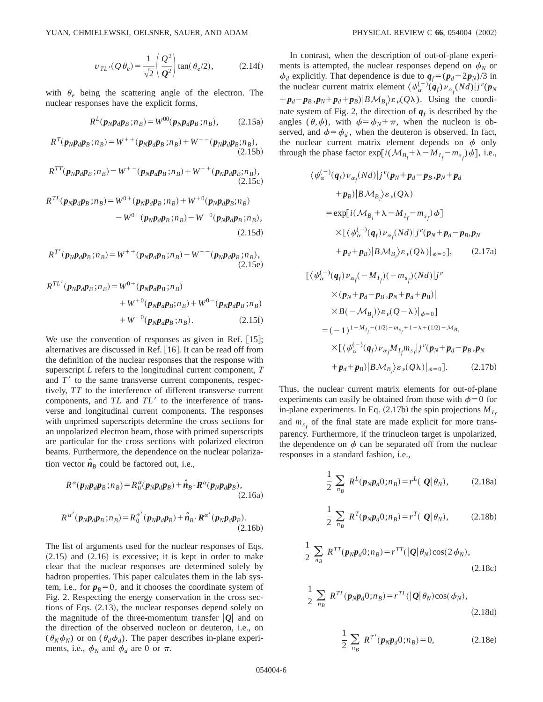$$
v_{TL'}(Q\theta_e) = \frac{1}{\sqrt{2}} \left(\frac{Q^2}{Q^2}\right) \tan(\theta_e/2), \qquad (2.14f)
$$

with  $\theta_e$  being the scattering angle of the electron. The nuclear responses have the explicit forms,

$$
R^{L}(p_{N}p_{d}p_{B};n_{B}) = W^{00}(p_{N}p_{d}p_{B};n_{B}), \qquad (2.15a)
$$

$$
R^{T}(p_{N}p_{d}p_{B};n_{B}) = W^{++}(p_{N}p_{d}p_{B};n_{B}) + W^{--}(p_{N}p_{d}p_{B};n_{B}),
$$
\n(2.15b)

$$
R^{TT}(p_{N}p_{d}p_{B};n_{B}) = W^{+-}(p_{N}p_{d}p_{B};n_{B}) + W^{-+}(p_{N}p_{d}p_{B};n_{B}),
$$
\n(2.15c)

$$
R^{TL}(p_{N}p_{d}p_{B};n_{B}) = W^{0+}(p_{N}p_{d}p_{B};n_{B}) + W^{+0}(p_{N}p_{d}p_{B};n_{B}) - W^{0-}(p_{N}p_{d}p_{B};n_{B}) - W^{-0}(p_{N}p_{d}p_{B};n_{B}),
$$
\n(2.15d)

$$
R^{T'}(p_{N}p_{d}p_{B};n_{B}) = W^{++}(p_{N}p_{d}p_{B};n_{B}) - W^{--}(p_{N}p_{d}p_{B};n_{B}),
$$
\n(2.15e)

$$
R^{TL'}(p_{N}p_{d}p_{B};n_{B}) = W^{0+}(p_{N}p_{d}p_{B};n_{B}) + W^{0-}(p_{N}p_{d}p_{B};n_{B}) + W^{0-}(p_{N}p_{d}p_{B};n_{B}) + W^{-0}(p_{N}p_{d}p_{B};n_{B}).
$$
\n(2.15f)

We use the convention of responses as given in Ref.  $[15]$ ; alternatives are discussed in Ref.  $[16]$ . It can be read off from the definition of the nuclear responses that the response with superscript *L* refers to the longitudinal current component, *T* and  $T<sup>8</sup>$  to the same transverse current components, respectively, *TT* to the interference of different transverse current components, and *TL* and *TL*<sup> $\prime$ </sup> to the interference of transverse and longitudinal current components. The responses with unprimed superscripts determine the cross sections for an unpolarized electron beam, those with primed superscripts are particular for the cross sections with polarized electron beams. Furthermore, the dependence on the nuclear polarization vector  $\hat{\boldsymbol{n}}_B$  could be factored out, i.e.,

$$
R^{\alpha}(\boldsymbol{p}_N \boldsymbol{p}_d \boldsymbol{p}_B; n_B) = R_0^{\alpha}(\boldsymbol{p}_N \boldsymbol{p}_d \boldsymbol{p}_B) + \hat{\boldsymbol{n}}_B \cdot \boldsymbol{R}^{\alpha}(\boldsymbol{p}_N \boldsymbol{p}_d \boldsymbol{p}_B),
$$
\n(2.16a)

$$
R^{\alpha'}(p_{N}p_{d}p_{B};n_{B}) = R_0^{\alpha'}(p_{N}p_{d}p_{B}) + \hat{n}_{B} \cdot R^{\alpha'}(p_{N}p_{d}p_{B}).
$$
\n(2.16b)

The list of arguments used for the nuclear responses of Eqs.  $(2.15)$  and  $(2.16)$  is excessive; it is kept in order to make clear that the nuclear responses are determined solely by hadron properties. This paper calculates them in the lab system, i.e., for  $p_B=0$ , and it chooses the coordinate system of Fig. 2. Respecting the energy conservation in the cross sections of Eqs.  $(2.13)$ , the nuclear responses depend solely on the magnitude of the three-momentum transfer  $|Q|$  and on the direction of the observed nucleon or deuteron, i.e., on  $(\theta_N \phi_N)$  or on  $(\theta_d \phi_d)$ . The paper describes in-plane experiments, i.e.,  $\phi_N$  and  $\phi_d$  are 0 or  $\pi$ .

In contrast, when the description of out-of-plane experiments is attempted, the nuclear responses depend on  $\phi_N$  or  $\phi_d$  explicitly. That dependence is due to  $q_f = (p_d - 2p_N)/3$  in the nuclear current matrix element  $\langle \psi_{\alpha}^{(-)}(\mathbf{q}_f) \nu_{\alpha} (Nd) | j^{\nu}(\mathbf{p}_N) \rangle$  $+p_d-p_B$ ,  $p_N+p_d+p_B$ ) $|B\mathcal{M}_{B_i}\rangle \varepsilon_v(Q\lambda)$ . Using the coordinate system of Fig. 2, the direction of  $q_f$  is described by the angles  $(\theta, \phi)$ , with  $\phi = \phi_N + \pi$ , when the nucleon is observed, and  $\phi = \phi_d$ , when the deuteron is observed. In fact, the nuclear current matrix element depends on  $\phi$  only through the phase factor  $\exp[i(M_{B_i} + \lambda - M_{I_f} - m_{s_f})\phi]$ , i.e.,

$$
\langle \psi_{\alpha}^{(-)}(\boldsymbol{q}_{f}) \nu_{\alpha_{f}}(Nd) | j^{\nu}(\boldsymbol{p}_{N} + \boldsymbol{p}_{d} - \boldsymbol{p}_{B}, \boldsymbol{p}_{N} + \boldsymbol{p}_{d} + \boldsymbol{p}_{B}) | B \mathcal{M}_{B_{i}} \rangle \varepsilon_{\nu}(\mathcal{Q}\lambda) = \exp[i(\mathcal{M}_{B_{i}} + \lambda - M_{I_{f}} - m_{s_{f}}) \phi] \times [\langle \psi_{\alpha}^{(-)}(\boldsymbol{q}_{f}) \nu_{\alpha_{f}}(Nd) | j^{\nu}(\boldsymbol{p}_{N} + \boldsymbol{p}_{d} - \boldsymbol{p}_{B}, \boldsymbol{p}_{N} + \boldsymbol{p}_{d} + \boldsymbol{p}_{B}) | B \mathcal{M}_{B_{i}} \rangle \varepsilon_{\nu}(\mathcal{Q}\lambda) |_{\phi=0}], \qquad (2.17a)
$$

$$
\begin{split}\n&\left[\langle\psi_{\alpha}^{(-)}(\boldsymbol{q}_{f})\nu_{\alpha_{f}}(-M_{I_{f}})(-m_{s_{f}})(Nd)\right]j^{\nu} \\
&\times(\boldsymbol{p}_{N}+\boldsymbol{p}_{d}-\boldsymbol{p}_{B},\boldsymbol{p}_{N}+\boldsymbol{p}_{d}+\boldsymbol{p}_{B})| \\
&\times B(-\mathcal{M}_{B_{i}})\varepsilon_{\nu}(\boldsymbol{Q}-\lambda)\big|_{\phi=0}]\n\\ &=(-1)^{1-M_{I_{f}}+(1/2)-m_{s_{f}}+1-\lambda+(1/2)-\mathcal{M}_{B_{i}}}\n\\ &\times\left[\langle\psi_{\alpha}^{(-)}(\boldsymbol{q}_{f})\nu_{\alpha_{f}}M_{I_{f}}m_{s_{f}}\right]j^{\nu}(\boldsymbol{p}_{N}+\boldsymbol{p}_{d}-\boldsymbol{p}_{B},\boldsymbol{p}_{N} \\
&+\boldsymbol{p}_{d}+\boldsymbol{p}_{B})|\boldsymbol{B}\mathcal{M}_{B_{i}}\rangle\varepsilon_{\nu}(\boldsymbol{Q}\lambda)\big|_{\phi=0}].\n\end{split} \tag{2.17b}
$$

Thus, the nuclear current matrix elements for out-of-plane experiments can easily be obtained from those with  $\phi=0$  for in-plane experiments. In Eq.  $(2.17b)$  the spin projections  $M_{I_c}$ and  $m_{s}$  of the final state are made explicit for more transparency. Furthermore, if the trinucleon target is unpolarized, the dependence on  $\phi$  can be separated off from the nuclear responses in a standard fashion, i.e.,

$$
\frac{1}{2} \sum_{n_B} R^L(p_N p_d 0; n_B) = r^L(|Q| \theta_N), \quad (2.18a)
$$

$$
\frac{1}{2} \sum_{n_B} R^T(\mathbf{p}_N \mathbf{p}_d 0; n_B) = r^T(|\mathbf{Q}| \theta_N), \quad (2.18b)
$$

$$
\frac{1}{2} \sum_{n_B} R^{TT}(\boldsymbol{p}_N \boldsymbol{p}_d 0; n_B) = r^{TT} (|\boldsymbol{Q}| \theta_N) \cos(2 \phi_N),
$$
\n(2.18c)

$$
\frac{1}{2} \sum_{n_B} R^{TL}(\boldsymbol{p}_N \boldsymbol{p}_d 0; n_B) = r^{TL}(|\boldsymbol{Q}| \theta_N) \cos(\phi_N),
$$
\n(2.18d)

$$
\frac{1}{2} \sum_{n_B} R^{T'}(p_N p_d 0; n_B) = 0,
$$
 (2.18e)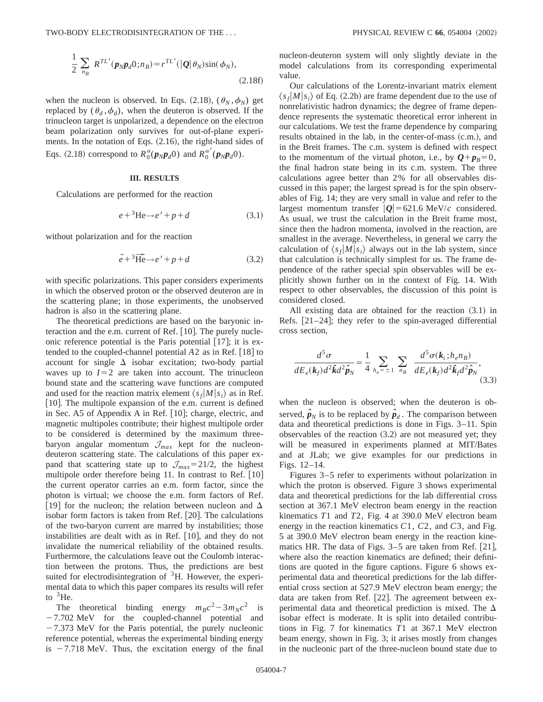$$
\frac{1}{2} \sum_{n_B} R^{TL'}(\boldsymbol{p}_N \boldsymbol{p}_d 0; n_B) = r^{TL'}(|\boldsymbol{Q}| \theta_N) \sin(\phi_N),
$$
\n(2.18f)

when the nucleon is observed. In Eqs. (2.18),  $(\theta_N, \phi_N)$  get replaced by  $(\theta_d, \phi_d)$ , when the deuteron is observed. If the trinucleon target is unpolarized, a dependence on the electron beam polarization only survives for out-of-plane experiments. In the notation of Eqs.  $(2.16)$ , the right-hand sides of Eqs. (2.18) correspond to  $R_0^{\alpha}(\mathbf{p}_N \mathbf{p}_d \mathbf{0})$  and  $R_0^{\alpha'}(\mathbf{p}_N \mathbf{p}_d \mathbf{0})$ .

#### **III. RESULTS**

Calculations are performed for the reaction

$$
e + {}^{3}\text{He} \rightarrow e' + p + d \tag{3.1}
$$

without polarization and for the reaction

$$
\vec{e} + {}^3\widehat{\text{He}} \to e' + p + d \tag{3.2}
$$

with specific polarizations. This paper considers experiments in which the observed proton or the observed deuteron are in the scattering plane; in those experiments, the unobserved hadron is also in the scattering plane.

The theoretical predictions are based on the baryonic interaction and the e.m. current of Ref.  $[10]$ . The purely nucleonic reference potential is the Paris potential  $[17]$ ; it is extended to the coupled-channel potential  $A2$  as in Ref. [18] to account for single  $\Delta$  isobar excitation; two-body partial waves up to  $I=2$  are taken into account. The trinucleon bound state and the scattering wave functions are computed and used for the reaction matrix element  $\langle s_f | M | s_i \rangle$  as in Ref. [10]. The multipole expansion of the e.m. current is defined in Sec. A5 of Appendix A in Ref.  $[10]$ ; charge, electric, and magnetic multipoles contribute; their highest multipole order to be considered is determined by the maximum threebaryon angular momentum  $\mathcal{J}_{max}$  kept for the nucleondeuteron scattering state. The calculations of this paper expand that scattering state up to  $\mathcal{J}_{max}=21/2$ , the highest multipole order therefore being 11. In contrast to Ref.  $[10]$ the current operator carries an e.m. form factor, since the photon is virtual; we choose the e.m. form factors of Ref. [19] for the nucleon; the relation between nucleon and  $\Delta$ isobar form factors is taken from Ref.  $[20]$ . The calculations of the two-baryon current are marred by instabilities; those instabilities are dealt with as in Ref.  $[10]$ , and they do not invalidate the numerical reliability of the obtained results. Furthermore, the calculations leave out the Coulomb interaction between the protons. Thus, the predictions are best suited for electrodisintegration of  ${}^{3}$ H. However, the experimental data to which this paper compares its results will refer to  ${}^{3}$ He.

The theoretical binding energy  $m_Bc^2 - 3m_Nc^2$  is  $-7.702$  MeV for the coupled-channel potential and  $-7.373$  MeV for the Paris potential, the purely nucleonic reference potential, whereas the experimental binding energy is  $-7.718$  MeV. Thus, the excitation energy of the final nucleon-deuteron system will only slightly deviate in the model calculations from its corresponding experimental value.

Our calculations of the Lorentz-invariant matrix element  $\langle s_f|M|s_i\rangle$  of Eq. (2.2b) are frame dependent due to the use of nonrelativistic hadron dynamics; the degree of frame dependence represents the systematic theoretical error inherent in our calculations. We test the frame dependence by comparing results obtained in the lab, in the center-of-mass  $(c.m.)$ , and in the Breit frames. The c.m. system is defined with respect to the momentum of the virtual photon, i.e., by  $Q + p_B = 0$ , the final hadron state being in its c.m. system. The three calculations agree better than 2% for all observables discussed in this paper; the largest spread is for the spin observables of Fig. 14; they are very small in value and refer to the largest momentum transfer  $|Q|$  = 621.6 MeV/*c* considered. As usual, we trust the calculation in the Breit frame most, since then the hadron momenta, involved in the reaction, are smallest in the average. Nevertheless, in general we carry the calculation of  $\langle s_f|M|s_i\rangle$  always out in the lab system, since that calculation is technically simplest for us. The frame dependence of the rather special spin observables will be explicitly shown further on in the context of Fig. 14. With respect to other observables, the discussion of this point is considered closed.

All existing data are obtained for the reaction  $(3.1)$  in Refs.  $[21–24]$ ; they refer to the spin-averaged differential cross section,

$$
\frac{d^5\sigma}{dE_e(\mathbf{k}_f)d^2\hat{\mathbf{k}}d^2\hat{\mathbf{p}}_N} = \frac{1}{4} \sum_{h_e=\pm 1} \sum_{n_B} \frac{d^5\sigma(\mathbf{k}_i; h_e n_B)}{dE_e(\mathbf{k}_f)d^2\hat{\mathbf{k}}_f d^2\hat{\mathbf{p}}_N},\tag{3.3}
$$

when the nucleon is observed; when the deuteron is observed,  $\hat{\boldsymbol{p}}_N$  is to be replaced by  $\hat{\boldsymbol{p}}_d$ . The comparison between data and theoretical predictions is done in Figs. 3–11. Spin observables of the reaction  $(3.2)$  are not measured yet; they will be measured in experiments planned at MIT/Bates and at JLab; we give examples for our predictions in Figs. 12–14.

Figures 3–5 refer to experiments without polarization in which the proton is observed. Figure 3 shows experimental data and theoretical predictions for the lab differential cross section at 367.1 MeV electron beam energy in the reaction kinematics *T*1 and *T*2, Fig. 4 at 390.0 MeV electron beam energy in the reaction kinematics *C*1, *C*2, and *C*3, and Fig. 5 at 390.0 MeV electron beam energy in the reaction kinematics HR. The data of Figs.  $3-5$  are taken from Ref. [21], where also the reaction kinematics are defined; their definitions are quoted in the figure captions. Figure 6 shows experimental data and theoretical predictions for the lab differential cross section at 527.9 MeV electron beam energy; the data are taken from Ref. [22]. The agreement between experimental data and theoretical prediction is mixed. The  $\Delta$ isobar effect is moderate. It is split into detailed contributions in Fig. 7 for kinematics *T*1 at 367.1 MeV electron beam energy, shown in Fig. 3; it arises mostly from changes in the nucleonic part of the three-nucleon bound state due to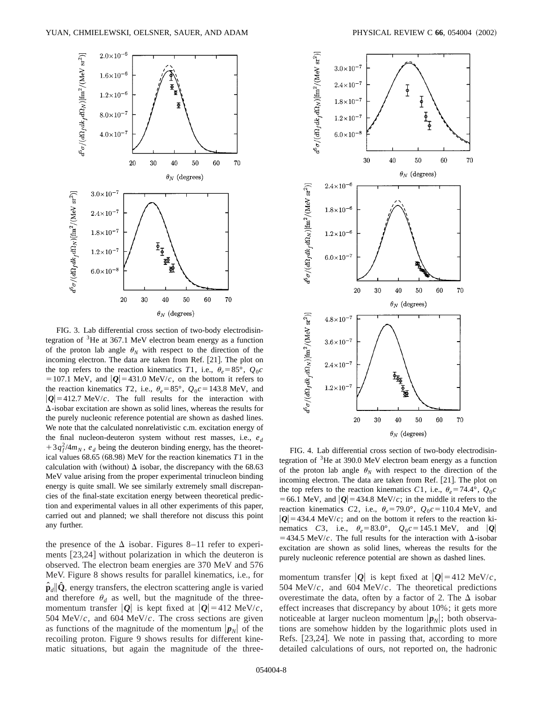

FIG. 3. Lab differential cross section of two-body electrodisintegration of  ${}^{3}$ He at 367.1 MeV electron beam energy as a function of the proton lab angle  $\theta_N$  with respect to the direction of the incoming electron. The data are taken from Ref. [21]. The plot on the top refers to the reaction kinematics *T*1, i.e.,  $\theta_e = 85^\circ$ ,  $Q_0c$ = 107.1 MeV, and  $|Q|$ = 431.0 MeV/*c*, on the bottom it refers to the reaction kinematics *T*2, i.e.,  $\theta_e = 85^\circ$ ,  $Q_0c = 143.8$  MeV, and  $|Q|=412.7$  MeV/*c*. The full results for the interaction with  $\Delta$ -isobar excitation are shown as solid lines, whereas the results for the purely nucleonic reference potential are shown as dashed lines. We note that the calculated nonrelativistic c.m. excitation energy of the final nucleon-deuteron system without rest masses, i.e.,  $e_d$  $+3q_f^2/4m_N$ ,  $e_d$  being the deuteron binding energy, has the theoretical values  $68.65$   $(68.98)$  MeV for the reaction kinematics  $T1$  in the calculation with (without)  $\Delta$  isobar, the discrepancy with the 68.63 MeV value arising from the proper experimental trinucleon binding energy is quite small. We see similarly extremely small discrepancies of the final-state excitation energy between theoretical prediction and experimental values in all other experiments of this paper, carried out and planned; we shall therefore not discuss this point any further.

the presence of the  $\Delta$  isobar. Figures 8–11 refer to experiments  $[23,24]$  without polarization in which the deuteron is observed. The electron beam energies are 370 MeV and 576 MeV. Figure 8 shows results for parallel kinematics, i.e., for  $\hat{\mathbf{p}}_d$   $\hat{\mathbf{Q}}$ , energy transfers, the electron scattering angle is varied and therefore  $\theta_d$  as well, but the magnitude of the threemomentum transfer  $|Q|$  is kept fixed at  $|Q| = 412$  MeV/*c*, 504 MeV/*c*, and 604 MeV/*c*. The cross sections are given as functions of the magnitude of the momentum  $|\mathbf{p}_N|$  of the recoiling proton. Figure 9 shows results for different kinematic situations, but again the magnitude of the three-



FIG. 4. Lab differential cross section of two-body electrodisintegration of  $3$ He at 390.0 MeV electron beam energy as a function of the proton lab angle  $\theta_N$  with respect to the direction of the incoming electron. The data are taken from Ref.  $[21]$ . The plot on the top refers to the reaction kinematics *C*1, i.e.,  $\theta_e = 74.4^\circ$ ,  $Q_0c$ = 66.1 MeV, and  $|Q|$ = 434.8 MeV/*c*; in the middle it refers to the reaction kinematics *C*2, i.e.,  $\theta_e = 79.0^\circ$ ,  $Q_0c = 110.4$  MeV, and  $|Q|=434.4$  MeV/*c*; and on the bottom it refers to the reaction kinematics *C*3, i.e.,  $\theta_e = 83.0^\circ$ ,  $Q_0c = 145.1$  MeV, and  $|Q|$  $=$  434.5 MeV/*c*. The full results for the interaction with  $\Delta$ -isobar excitation are shown as solid lines, whereas the results for the purely nucleonic reference potential are shown as dashed lines.

momentum transfer  $|Q|$  is kept fixed at  $|Q| = 412$  MeV/*c*, 504 MeV/*c*, and 604 MeV/*c*. The theoretical predictions overestimate the data, often by a factor of 2. The  $\Delta$  isobar effect increases that discrepancy by about 10%; it gets more noticeable at larger nucleon momentum  $|\boldsymbol{p}_N|$ ; both observations are somehow hidden by the logarithmic plots used in Refs.  $[23,24]$ . We note in passing that, according to more detailed calculations of ours, not reported on, the hadronic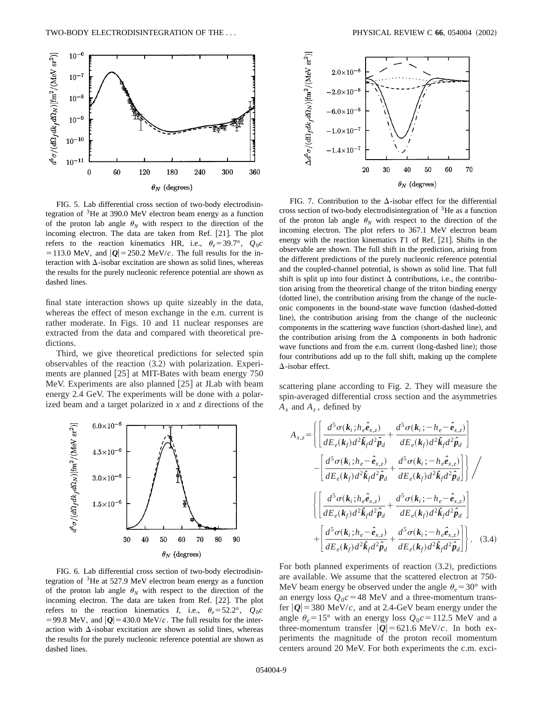

FIG. 5. Lab differential cross section of two-body electrodisintegration of  ${}^{3}$ He at 390.0 MeV electron beam energy as a function of the proton lab angle  $\theta_N$  with respect to the direction of the incoming electron. The data are taken from Ref. [21]. The plot refers to the reaction kinematics HR, i.e.,  $\theta_e = 39.7^\circ$ ,  $Q_0c$ = 113.0 MeV, and  $|Q|$  = 250.2 MeV/*c*. The full results for the interaction with  $\Delta$ -isobar excitation are shown as solid lines, whereas the results for the purely nucleonic reference potential are shown as dashed lines.

final state interaction shows up quite sizeably in the data, whereas the effect of meson exchange in the e.m. current is rather moderate. In Figs. 10 and 11 nuclear responses are extracted from the data and compared with theoretical predictions.

Third, we give theoretical predictions for selected spin observables of the reaction  $(3.2)$  with polarization. Experiments are planned  $[25]$  at MIT-Bates with beam energy 750 MeV. Experiments are also planned  $[25]$  at JLab with beam energy 2.4 GeV. The experiments will be done with a polarized beam and a target polarized in *x* and *z* directions of the



FIG. 6. Lab differential cross section of two-body electrodisintegration of  ${}^{3}$ He at 527.9 MeV electron beam energy as a function of the proton lab angle  $\theta_N$  with respect to the direction of the incoming electron. The data are taken from Ref. [22]. The plot refers to the reaction kinematics *I*, i.e.,  $\theta_e = 52.2^\circ$ ,  $Q_0c$ =99.8 MeV, and  $|Q|$ =430.0 MeV/*c*. The full results for the interaction with  $\Delta$ -isobar excitation are shown as solid lines, whereas the results for the purely nucleonic reference potential are shown as dashed lines.



FIG. 7. Contribution to the  $\Delta$ -isobar effect for the differential cross section of two-body electrodisintegration of  ${}^{3}$ He as a function of the proton lab angle  $\theta_N$  with respect to the direction of the incoming electron. The plot refers to 367.1 MeV electron beam energy with the reaction kinematics  $T1$  of Ref. [21]. Shifts in the observable are shown. The full shift in the prediction, arising from the different predictions of the purely nucleonic reference potential and the coupled-channel potential, is shown as solid line. That full shift is split up into four distinct  $\Delta$  contributions, i.e., the contribution arising from the theoretical change of the triton binding energy (dotted line), the contribution arising from the change of the nucleonic components in the bound-state wave function (dashed-dotted line), the contribution arising from the change of the nucleonic components in the scattering wave function (short-dashed line), and the contribution arising from the  $\Delta$  components in both hadronic wave functions and from the e.m. current (long-dashed line); those four contributions add up to the full shift, making up the complete  $\Delta$ -isobar effect.

scattering plane according to Fig. 2. They will measure the spin-averaged differential cross section and the asymmetries  $A_x$  and  $A_z$ , defined by

$$
A_{x,z} = \left\{ \left[ \frac{d^5 \sigma(k_i; h_e \hat{e}_{x,z})}{dE_e(k_f) d^2 \hat{k}_f d^2 \hat{p}_d} + \frac{d^5 \sigma(k_i; -h_e - \hat{e}_{x,z})}{dE_e(k_f) d^2 \hat{k}_f d^2 \hat{p}_d} \right] - \left[ \frac{d^5 \sigma(k_i; h_e - \hat{e}_{x,z})}{dE_e(k_f) d^2 \hat{k}_f d^2 \hat{p}_d} + \frac{d^5 \sigma(k_i; -h_e \hat{e}_{x,z})}{dE_e(k_f) d^2 \hat{k}_f d^2 \hat{p}_d} \right] \right\} / \left\{ \left[ \frac{d^5 \sigma(k_i; h_e \hat{e}_{x,z})}{dE_e(k_f) d^2 \hat{k}_f d^2 \hat{p}_d} + \frac{d^5 \sigma(k_i; -h_e - \hat{e}_{x,z})}{dE_e(k_f) d^2 \hat{k}_f d^2 \hat{p}_d} \right] + \left[ \frac{d^5 \sigma(k_i; h_e - \hat{e}_{x,z})}{dE_e(k_f) d^2 \hat{k}_f d^2 \hat{p}_d} + \frac{d^5 \sigma(k_i; -h_e \hat{e}_{x,z})}{dE_e(k_f) d^2 \hat{k}_f d^2 \hat{p}_d} \right] \right\}.
$$
 (3.4)

For both planned experiments of reaction  $(3.2)$ , predictions are available. We assume that the scattered electron at 750- MeV beam energy be observed under the angle  $\theta_e = 30^\circ$  with an energy loss  $Q_0c = 48$  MeV and a three-momentum transfer  $|Q|$  = 380 MeV/*c*, and at 2.4-GeV beam energy under the angle  $\theta_e = 15^\circ$  with an energy loss  $Q_0c = 112.5$  MeV and a three-momentum transfer  $|Q|$ =621.6 MeV/*c*. In both experiments the magnitude of the proton recoil momentum centers around 20 MeV. For both experiments the c.m. exci-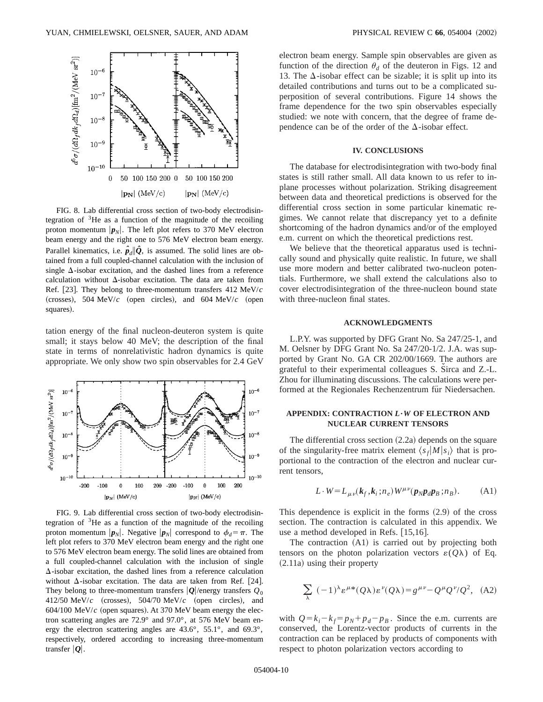

FIG. 8. Lab differential cross section of two-body electrodisintegration of  $3$ He as a function of the magnitude of the recoiling proton momentum  $|\mathbf{p}_N|$ . The left plot refers to 370 MeV electron beam energy and the right one to 576 MeV electron beam energy. Parallel kinematics, i.e.  $\hat{p}_d \|\hat{Q}$ , is assumed. The solid lines are obtained from a full coupled-channel calculation with the inclusion of single  $\Delta$ -isobar excitation, and the dashed lines from a reference calculation without  $\Delta$ -isobar excitation. The data are taken from Ref. [23]. They belong to three-momentum transfers 412 MeV/*c* (crosses), 504 MeV/ $c$  (open circles), and 604 MeV/ $c$  (open squares).

tation energy of the final nucleon-deuteron system is quite small; it stays below 40 MeV; the description of the final state in terms of nonrelativistic hadron dynamics is quite appropriate. We only show two spin observables for 2.4 GeV



FIG. 9. Lab differential cross section of two-body electrodisintegration of  $3$ He as a function of the magnitude of the recoiling proton momentum  $|\mathbf{p}_N|$ . Negative  $|\mathbf{p}_N|$  correspond to  $\phi_d = \pi$ . The left plot refers to 370 MeV electron beam energy and the right one to 576 MeV electron beam energy. The solid lines are obtained from a full coupled-channel calculation with the inclusion of single  $\Delta$ -isobar excitation, the dashed lines from a reference calculation without  $\Delta$ -isobar excitation. The data are taken from Ref. [24]. They belong to three-momentum transfers  $|Q|$ /energy transfers  $Q_0$ 412/50 MeV/ $c$  (crosses), 504/70 MeV/ $c$  (open circles), and  $604/100$  MeV/ $c$  (open squares). At 370 MeV beam energy the electron scattering angles are 72.9° and 97.0°, at 576 MeV beam energy the electron scattering angles are 43.6°, 55.1°, and 69.3°, respectively, ordered according to increasing three-momentum transfer  $|Q|$ .

electron beam energy. Sample spin observables are given as function of the direction  $\theta_d$  of the deuteron in Figs. 12 and 13. The  $\Delta$ -isobar effect can be sizable; it is split up into its detailed contributions and turns out to be a complicated superposition of several contributions. Figure 14 shows the frame dependence for the two spin observables especially studied: we note with concern, that the degree of frame dependence can be of the order of the  $\Delta$ -isobar effect.

# **IV. CONCLUSIONS**

The database for electrodisintegration with two-body final states is still rather small. All data known to us refer to inplane processes without polarization. Striking disagreement between data and theoretical predictions is observed for the differential cross section in some particular kinematic regimes. We cannot relate that discrepancy yet to a definite shortcoming of the hadron dynamics and/or of the employed e.m. current on which the theoretical predictions rest.

We believe that the theoretical apparatus used is technically sound and physically quite realistic. In future, we shall use more modern and better calibrated two-nucleon potentials. Furthermore, we shall extend the calculations also to cover electrodisintegration of the three-nucleon bound state with three-nucleon final states.

#### **ACKNOWLEDGMENTS**

L.P.Y. was supported by DFG Grant No. Sa 247/25-1, and M. Oelsner by DFG Grant No. Sa 247/20-1/2. J.A. was supported by Grant No. GA CR 202/00/1669. The authors are grateful to their experimental colleagues S. Sirca and Z.-L. Zhou for illuminating discussions. The calculations were performed at the Regionales Rechenzentrum für Niedersachen.

# **APPENDIX: CONTRACTION** *L***"***W* **OF ELECTRON AND NUCLEAR CURRENT TENSORS**

The differential cross section  $(2.2a)$  depends on the square of the singularity-free matrix element  $\langle s_f | M | s_i \rangle$  that is proportional to the contraction of the electron and nuclear current tensors,

$$
L \cdot W = L_{\mu\nu}(\mathbf{k}_f, \mathbf{k}_i; n_e) W^{\mu\nu}(\mathbf{p}_N \mathbf{p}_d \mathbf{p}_B; n_B).
$$
 (A1)

This dependence is explicit in the forms  $(2.9)$  of the cross section. The contraction is calculated in this appendix. We use a method developed in Refs.  $[15,16]$ .

The contraction  $(A1)$  is carried out by projecting both tensors on the photon polarization vectors  $\varepsilon(Q\lambda)$  of Eq.  $(2.11a)$  using their property

$$
\sum_{\lambda} (-1)^{\lambda} \varepsilon^{\mu *}(Q\lambda) \varepsilon^{\nu}(Q\lambda) = g^{\mu\nu} - Q^{\mu}Q^{\nu}/Q^2, (A2)
$$

with  $Q = k_i - k_f = p_N + p_d - p_B$ . Since the e.m. currents are conserved, the Lorentz-vector products of currents in the contraction can be replaced by products of components with respect to photon polarization vectors according to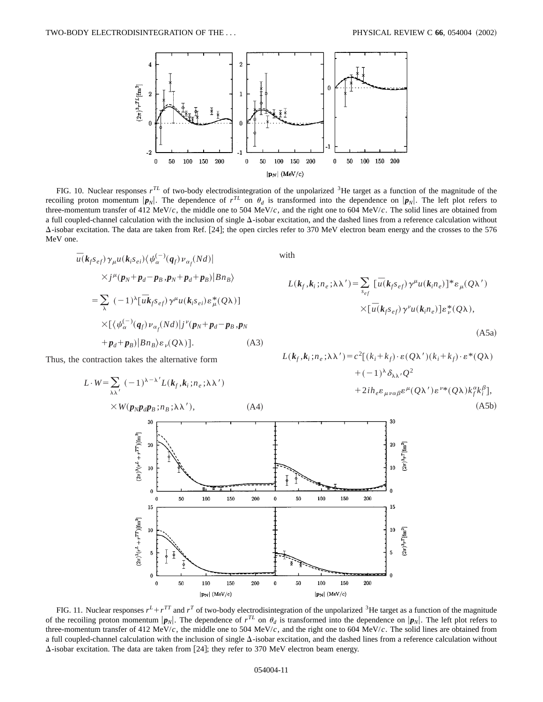

FIG. 10. Nuclear responses  $r^{TL}$  of two-body electrodisintegration of the unpolarized <sup>3</sup>He target as a function of the magnitude of the recoiling proton momentum  $|\mathbf{p}_N|$ . The dependence of  $r^{TL}$  on  $\theta_d$  is transformed into the dependence on  $|\mathbf{p}_N|$ . The left plot refers to three-momentum transfer of 412 MeV/*c*, the middle one to 504 MeV/*c*, and the right one to 604 MeV/*c*. The solid lines are obtained from a full coupled-channel calculation with the inclusion of single  $\Delta$ -isobar excitation, and the dashed lines from a reference calculation without  $\Delta$ -isobar excitation. The data are taken from Ref. [24]; the open circles refer to 370 MeV electron beam energy and the crosses to the 576 MeV one.

$$
\overline{u}(\mathbf{k}_f s_{ef}) \gamma_\mu u(\mathbf{k}_i s_{ei}) \langle \psi_\alpha^{(-)}(\mathbf{q}_f) \nu_{\alpha_f}(Nd) |
$$
\n
$$
\times j^\mu(\mathbf{p}_N + \mathbf{p}_d - \mathbf{p}_B \cdot \mathbf{p}_N + \mathbf{p}_d + \mathbf{p}_B) |Bn_B\rangle
$$
\n
$$
= \sum_{\lambda} (-1)^\lambda [\overline{u} \mathbf{k}_f s_{ef}) \gamma^\mu u(\mathbf{k}_i s_{ei}) \varepsilon_\mu^*(Q\lambda)]
$$
\n
$$
\times [\langle \psi_\alpha^{(-)}(\mathbf{q}_f) \nu_{\alpha_f}(Nd) | j^\nu(\mathbf{p}_N + \mathbf{p}_d - \mathbf{p}_B \cdot \mathbf{p}_N + \mathbf{p}_d + \mathbf{p}_B) |Bn_B\rangle \varepsilon_\nu(Q\lambda)]. \tag{A3}
$$

Thus, the contraction takes the alternative form

$$
L \cdot W = \sum_{\lambda \lambda'} (-1)^{\lambda - \lambda'} L(k_f, k_i; n_e; \lambda \lambda')
$$
  
×  $W(p_N p_d p_B; n_B; \lambda \lambda'),$  (A4)

with

$$
L(k_f, k_i; n_e; \lambda \lambda') = \sum_{s_{ef}} [\bar{u}(k_f s_{ef}) \gamma^{\mu} u(k_i n_e)]^* \varepsilon_{\mu}(Q\lambda')
$$
  
 
$$
\times [\bar{u}(k_f s_{ef}) \gamma^{\nu} u(k_i n_e)] \varepsilon_{\nu}^*(Q\lambda),
$$

 $(A5a)$ 

 $L(k_f, k_i; n_e; \lambda \lambda') = c^2[(k_i + k_f) \cdot \varepsilon(Q\lambda') (k_i + k_f) \cdot \varepsilon^*(Q\lambda))$  $+(-1)^{\lambda} \delta_{\lambda \lambda'} Q^2$  $+2ih_{e}\varepsilon_{\mu\nu\alpha\beta}\varepsilon^{\mu}(Q\lambda')\varepsilon^{\nu*}(Q\lambda)k_{f}^{\alpha}k_{i}^{\beta}],$  $(A5b)$ 



FIG. 11. Nuclear responses  $r^L + r^{TT}$  and  $r^T$  of two-body electrodisintegration of the unpolarized <sup>3</sup>He target as a function of the magnitude of the recoiling proton momentum  $|\mathbf{p}_N|$ . The dependence of  $r^{TL}$  on  $\theta_d$  is transformed into the dependence on  $|\mathbf{p}_N|$ . The left plot refers to three-momentum transfer of 412 MeV/*c*, the middle one to 504 MeV/*c*, and the right one to 604 MeV/*c*. The solid lines are obtained from a full coupled-channel calculation with the inclusion of single  $\Delta$ -isobar excitation, and the dashed lines from a reference calculation without  $\Delta$ -isobar excitation. The data are taken from [24]; they refer to 370 MeV electron beam energy.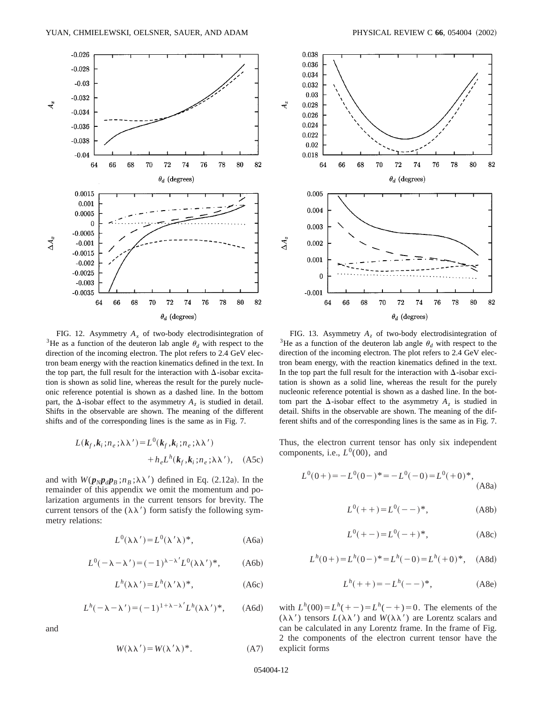

FIG. 12. Asymmetry  $A_x$  of two-body electrodisintegration of <sup>3</sup>He as a function of the deuteron lab angle  $\theta_d$  with respect to the direction of the incoming electron. The plot refers to 2.4 GeV electron beam energy with the reaction kinematics defined in the text. In the top part, the full result for the interaction with  $\Delta$ -isobar excitation is shown as solid line, whereas the result for the purely nucleonic reference potential is shown as a dashed line. In the bottom part, the  $\Delta$ -isobar effect to the asymmetry  $A_{\zeta}$  is studied in detail. Shifts in the observable are shown. The meaning of the different shifts and of the corresponding lines is the same as in Fig. 7.

$$
L(k_f, k_i; n_e; \lambda \lambda') = L^0(k_f, k_i; n_e; \lambda \lambda')
$$
  
+ 
$$
h_e L^h(k_f, k_i; n_e; \lambda \lambda'), \quad (A5c)
$$

and with  $W(p_N p_d p_B; n_B; \lambda \lambda')$  defined in Eq. (2.12a). In the remainder of this appendix we omit the momentum and polarization arguments in the current tensors for brevity. The current tensors of the  $(\lambda \lambda')$  form satisfy the following symmetry relations:

$$
L^{0}(\lambda \lambda') = L^{0}(\lambda' \lambda)^{*}, \qquad (A6a)
$$

$$
L^{0}(-\lambda - \lambda') = (-1)^{\lambda - \lambda'} L^{0}(\lambda \lambda')^{*}, \qquad (A6b)
$$

$$
L^h(\lambda \lambda') = L^h(\lambda' \lambda)^*, \qquad (A6c)
$$

$$
L^h(-\lambda - \lambda') = (-1)^{1 + \lambda - \lambda'} L^h(\lambda \lambda')^*, \quad (A6d)
$$

and

$$
W(\lambda \lambda') = W(\lambda' \lambda)^*.
$$
 (A7)



FIG. 13. Asymmetry  $A_z$  of two-body electrodisintegration of <sup>3</sup>He as a function of the deuteron lab angle  $\theta_d$  with respect to the direction of the incoming electron. The plot refers to 2.4 GeV electron beam energy, with the reaction kinematics defined in the text. In the top part the full result for the interaction with  $\Delta$ -isobar excitation is shown as a solid line, whereas the result for the purely nucleonic reference potential is shown as a dashed line. In the bottom part the  $\Delta$ -isobar effect to the asymmetry  $A_{\zeta}$  is studied in detail. Shifts in the observable are shown. The meaning of the different shifts and of the corresponding lines is the same as in Fig. 7.

Thus, the electron current tensor has only six independent components, i.e.,  $L^0(00)$ , and

$$
L^{0}(0+) = -L^{0}(0-)^* = -L^{0}(-0) = L^{0}(+0)^*,
$$
\n(A8a)

$$
L^{0}(++)=L^{0}(--)^{*}, \qquad (A8b)
$$

$$
L^{0}(+-)=L^{0}(-+)^{*},
$$
 (A8c)

$$
L^h(0+) = L^h(0-)^* = L^h(-0) = L^h(+0)^*, \quad \text{(A8d)}
$$

$$
L^h(+) = -L^h(--)^*,
$$
 (A8e)

with  $L^h(00) = L^h(-+) = L^h(-+) = 0$ . The elements of the  $(\lambda \lambda')$  tensors  $L(\lambda \lambda')$  and  $W(\lambda \lambda')$  are Lorentz scalars and can be calculated in any Lorentz frame. In the frame of Fig. 2 the components of the electron current tensor have the explicit forms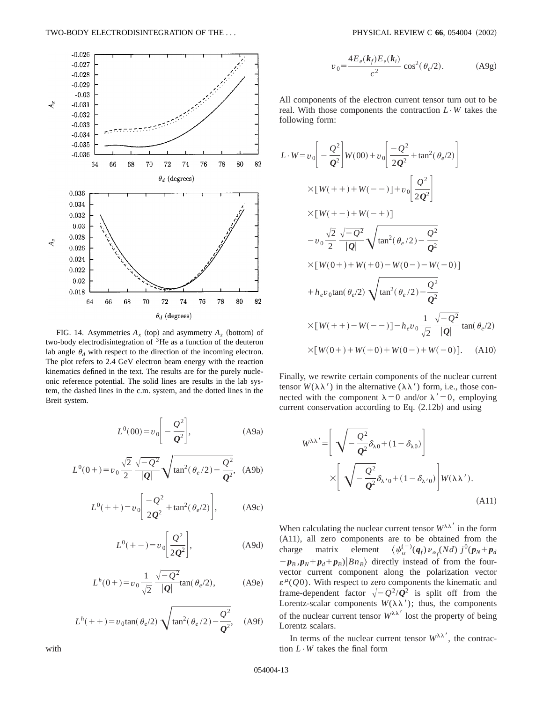

FIG. 14. Asymmetries  $A_x$  (top) and asymmetry  $A_z$  (bottom) of two-body electrodisintegration of  ${}^{3}$ He as a function of the deuteron lab angle  $\theta_d$  with respect to the direction of the incoming electron. The plot refers to 2.4 GeV electron beam energy with the reaction kinematics defined in the text. The results are for the purely nucleonic reference potential. The solid lines are results in the lab system, the dashed lines in the c.m. system, and the dotted lines in the Breit system.

$$
L^{0}(00) = v_0 \left[ -\frac{Q^2}{Q^2} \right],
$$
 (A9a)

$$
L^{0}(0+) = v_0 \frac{\sqrt{2}}{2} \frac{\sqrt{-Q^2}}{|Q|} \sqrt{\tan^2(\theta_e/2) - \frac{Q^2}{Q^2}},
$$
 (A9b)

$$
L^{0}(+) = v_0 \left[ \frac{-Q^2}{2Q^2} + \tan^2(\theta_e/2) \right],
$$
 (A9c)

$$
L^{0}(+-)=v_{0}\left[\frac{Q^{2}}{2Q^{2}}\right],
$$
 (A9d)

$$
L^{h}(0+) = v_0 \frac{1}{\sqrt{2}} \frac{\sqrt{-Q^2}}{|Q|} \tan(\theta_e/2), \quad (A9e)
$$

$$
L^{h}(+) = v_0 \tan(\theta_e/2) \sqrt{\tan^2(\theta_e/2) - \frac{Q^2}{Q^2}}, \quad \text{(A9f)}
$$

$$
v_0 = \frac{4E_e(k_f)E_e(k_i)}{c^2} \cos^2(\theta_e/2). \tag{A9g}
$$

All components of the electron current tensor turn out to be real. With those components the contraction  $L \cdot W$  takes the following form:

$$
L \cdot W = v_0 \left[ -\frac{Q^2}{Q^2} \right] W(00) + v_0 \left[ \frac{-Q^2}{2Q^2} + \tan^2(\theta_e/2) \right]
$$
  
\n
$$
\times [W(++) + W(--)] + v_0 \left[ \frac{Q^2}{2Q^2} \right]
$$
  
\n
$$
\times [W(+-) + W(++)]
$$
  
\n
$$
-v_0 \frac{\sqrt{2}}{2} \frac{\sqrt{-Q^2}}{|Q|} \sqrt{\tan^2(\theta_e/2) - \frac{Q^2}{Q^2}}
$$
  
\n
$$
\times [W(0+) + W(+) - W(0-) - W(-0)]
$$
  
\n
$$
+ h_e v_0 \tan(\theta_e/2) \sqrt{\tan^2(\theta_e/2) - \frac{Q^2}{Q^2}}
$$
  
\n
$$
\times [W(++) - W(--)] - h_e v_0 \frac{1}{\sqrt{2}} \frac{\sqrt{-Q^2}}{|Q|} \tan(\theta_e/2)
$$
  
\n
$$
\times [W(0+) + W(+) + W(0-) + W(-0)]. \quad (A10)
$$

Finally, we rewrite certain components of the nuclear current tensor  $W(\lambda \lambda')$  in the alternative ( $\lambda \lambda'$ ) form, i.e., those connected with the component  $\lambda=0$  and/or  $\lambda'=0$ , employing current conservation according to Eq.  $(2.12b)$  and using

$$
W^{\lambda\lambda'} = \left[ \sqrt{-\frac{Q^2}{Q^2}} \delta_{\lambda 0} + (1 - \delta_{\lambda 0}) \right]
$$

$$
\times \left[ \sqrt{-\frac{Q^2}{Q^2}} \delta_{\lambda' 0} + (1 - \delta_{\lambda' 0}) \right] W(\lambda \lambda').
$$
(A11)

When calculating the nuclear current tensor  $W^{\lambda\lambda'}$  in the form (A11), all zero components are to be obtained from the charge matrix element  $\int_{\alpha}^{(-)} (q_f) \nu_{\alpha_f} (Nd) |j^0 (p_N + p_d)$  $-p_B$ ,  $p_N+p_d+p_B$  $\vert Bn_B\rangle$  directly instead of from the fourvector current component along the polarization vector  $\varepsilon^{\mu}(Q0)$ . With respect to zero components the kinematic and frame-dependent factor  $\sqrt{-Q^2/Q^2}$  is split off from the Lorentz-scalar components  $W(\lambda \lambda')$ ; thus, the components of the nuclear current tensor  $W^{\lambda\lambda'}$  lost the property of being Lorentz scalars.

In terms of the nuclear current tensor  $W^{\lambda\lambda'}$ , the contraction  $L \cdot W$  takes the final form

with